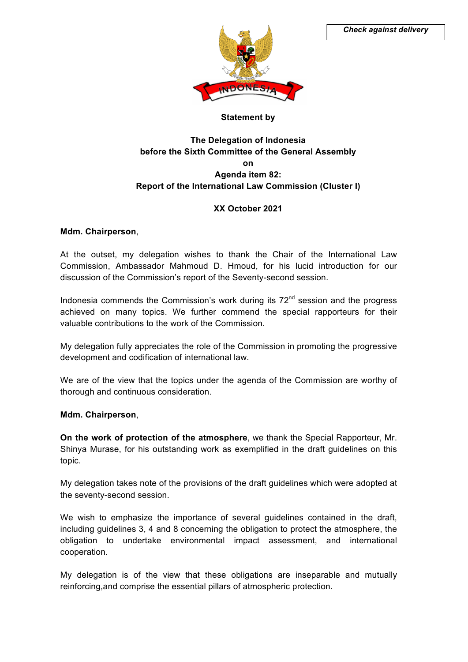

## **Statement by**

# **The Delegation of Indonesia before the Sixth Committee of the General Assembly on Agenda item 82: Report of the International Law Commission (Cluster I)**

## **XX October 2021**

### **Mdm. Chairperson**,

At the outset, my delegation wishes to thank the Chair of the International Law Commission, Ambassador Mahmoud D. Hmoud, for his lucid introduction for our discussion of the Commission's report of the Seventy-second session.

Indonesia commends the Commission's work during its  $72<sup>nd</sup>$  session and the progress achieved on many topics. We further commend the special rapporteurs for their valuable contributions to the work of the Commission.

My delegation fully appreciates the role of the Commission in promoting the progressive development and codification of international law.

We are of the view that the topics under the agenda of the Commission are worthy of thorough and continuous consideration.

#### **Mdm. Chairperson**,

**On the work of protection of the atmosphere**, we thank the Special Rapporteur, Mr. Shinya Murase, for his outstanding work as exemplified in the draft guidelines on this topic.

My delegation takes note of the provisions of the draft guidelines which were adopted at the seventy-second session.

We wish to emphasize the importance of several guidelines contained in the draft, including guidelines 3, 4 and 8 concerning the obligation to protect the atmosphere, the obligation to undertake environmental impact assessment, and international cooperation.

My delegation is of the view that these obligations are inseparable and mutually reinforcing,and comprise the essential pillars of atmospheric protection.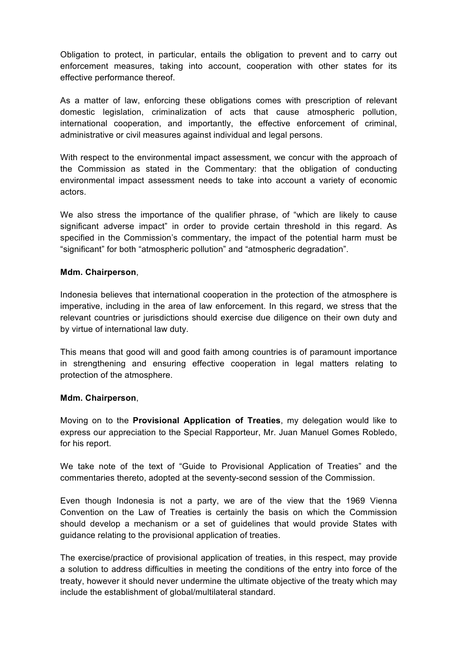Obligation to protect, in particular, entails the obligation to prevent and to carry out enforcement measures, taking into account, cooperation with other states for its effective performance thereof.

As a matter of law, enforcing these obligations comes with prescription of relevant domestic legislation, criminalization of acts that cause atmospheric pollution, international cooperation, and importantly, the effective enforcement of criminal, administrative or civil measures against individual and legal persons.

With respect to the environmental impact assessment, we concur with the approach of the Commission as stated in the Commentary: that the obligation of conducting environmental impact assessment needs to take into account a variety of economic actors.

We also stress the importance of the qualifier phrase, of "which are likely to cause significant adverse impact" in order to provide certain threshold in this regard. As specified in the Commission's commentary, the impact of the potential harm must be "significant" for both "atmospheric pollution" and "atmospheric degradation".

### **Mdm. Chairperson**,

Indonesia believes that international cooperation in the protection of the atmosphere is imperative, including in the area of law enforcement. In this regard, we stress that the relevant countries or jurisdictions should exercise due diligence on their own duty and by virtue of international law duty.

This means that good will and good faith among countries is of paramount importance in strengthening and ensuring effective cooperation in legal matters relating to protection of the atmosphere.

#### **Mdm. Chairperson**,

Moving on to the **Provisional Application of Treaties**, my delegation would like to express our appreciation to the Special Rapporteur, Mr. Juan Manuel Gomes Robledo, for his report.

We take note of the text of "Guide to Provisional Application of Treaties" and the commentaries thereto, adopted at the seventy-second session of the Commission.

Even though Indonesia is not a party, we are of the view that the 1969 Vienna Convention on the Law of Treaties is certainly the basis on which the Commission should develop a mechanism or a set of guidelines that would provide States with guidance relating to the provisional application of treaties.

The exercise/practice of provisional application of treaties, in this respect, may provide a solution to address difficulties in meeting the conditions of the entry into force of the treaty, however it should never undermine the ultimate objective of the treaty which may include the establishment of global/multilateral standard.